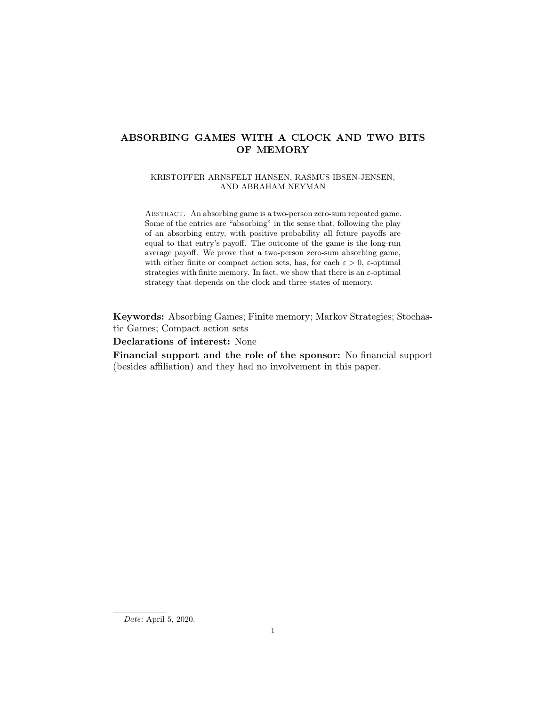# ABSORBING GAMES WITH A CLOCK AND TWO BITS OF MEMORY

# KRISTOFFER ARNSFELT HANSEN, RASMUS IBSEN-JENSEN, AND ABRAHAM NEYMAN

Abstract. An absorbing game is a two-person zero-sum repeated game. Some of the entries are "absorbing" in the sense that, following the play of an absorbing entry, with positive probability all future payoffs are equal to that entry's payoff. The outcome of the game is the long-run average payoff. We prove that a two-person zero-sum absorbing game, with either finite or compact action sets, has, for each  $\varepsilon > 0$ ,  $\varepsilon$ -optimal strategies with finite memory. In fact, we show that there is an  $\varepsilon$ -optimal strategy that depends on the clock and three states of memory.

Keywords: Absorbing Games; Finite memory; Markov Strategies; Stochastic Games; Compact action sets

Declarations of interest: None

Financial support and the role of the sponsor: No financial support (besides affiliation) and they had no involvement in this paper.

Date: April 5, 2020.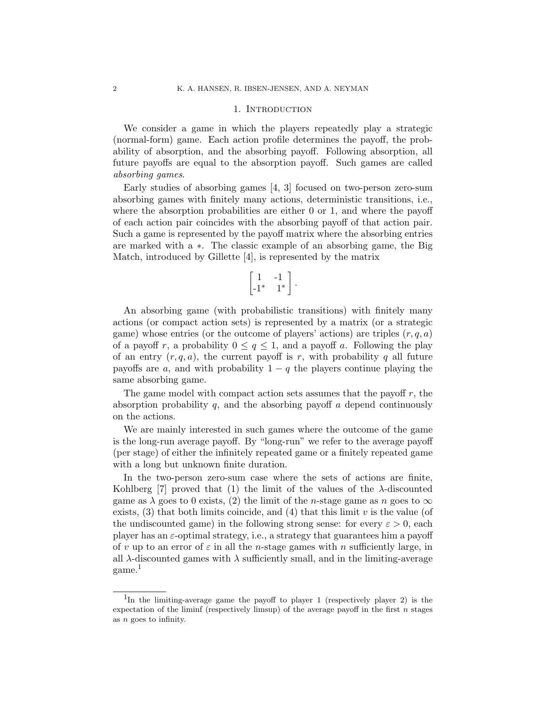#### 1. INTRODUCTION

We consider a game in which the players repeatedly play a strategic (normal-form) game. Each action profile determines the payoff, the probability of absorption, and the absorbing payoff. Following absorption, all future payoffs are equal to the absorption payoff. Such games are called absorbing games.

Early studies of absorbing games [4, 3] focused on two-person zero-sum absorbing games with finitely many actions, deterministic transitions, i.e., where the absorption probabilities are either 0 or 1, and where the payoff of each action pair coincides with the absorbing payoff of that action pair. Such a game is represented by the payoff matrix where the absorbing entries are marked with a ∗. The classic example of an absorbing game, the Big Match, introduced by Gillette [4], is represented by the matrix

$$
\begin{bmatrix} 1 & -1 \\ -1^* & 1^* \end{bmatrix}.
$$

An absorbing game (with probabilistic transitions) with finitely many actions (or compact action sets) is represented by a matrix (or a strategic game) whose entries (or the outcome of players' actions) are triples  $(r, q, a)$ of a payoff r, a probability  $0 \le q \le 1$ , and a payoff a. Following the play of an entry  $(r, q, a)$ , the current payoff is r, with probability q all future payoffs are a, and with probability  $1 - q$  the players continue playing the same absorbing game.

The game model with compact action sets assumes that the payoff  $r$ , the absorption probability  $q$ , and the absorbing payoff  $\alpha$  depend continuously on the actions.

We are mainly interested in such games where the outcome of the game is the long-run average payoff. By "long-run" we refer to the average payoff (per stage) of either the infinitely repeated game or a finitely repeated game with a long but unknown finite duration.

In the two-person zero-sum case where the sets of actions are finite, Kohlberg  $[7]$  proved that  $(1)$  the limit of the values of the  $\lambda$ -discounted game as  $\lambda$  goes to 0 exists, (2) the limit of the *n*-stage game as *n* goes to  $\infty$ exists,  $(3)$  that both limits coincide, and  $(4)$  that this limit v is the value (of the undiscounted game) in the following strong sense: for every  $\varepsilon > 0$ , each player has an ε-optimal strategy, i.e., a strategy that guarantees him a payoff of v up to an error of  $\varepsilon$  in all the *n*-stage games with *n* sufficiently large, in all  $\lambda$ -discounted games with  $\lambda$  sufficiently small, and in the limiting-average game.<sup>1</sup>

<sup>&</sup>lt;sup>1</sup>In the limiting-average game the payoff to player 1 (respectively player 2) is the expectation of the liminf (respectively limsup) of the average payoff in the first  $n$  stages as n goes to infinity.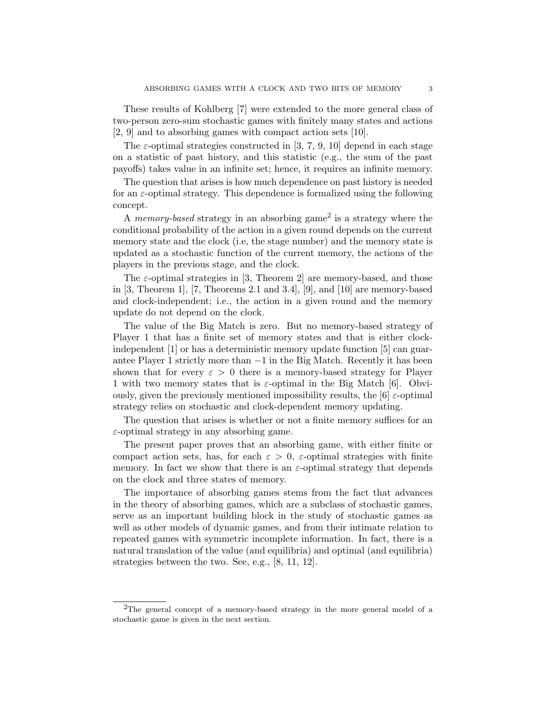These results of Kohlberg [7] were extended to the more general class of two-person zero-sum stochastic games with finitely many states and actions [2, 9] and to absorbing games with compact action sets [10].

The  $\varepsilon$ -optimal strategies constructed in [3, 7, 9, 10] depend in each stage on a statistic of past history, and this statistic (e.g., the sum of the past payoffs) takes value in an infinite set; hence, it requires an infinite memory.

The question that arises is how much dependence on past history is needed for an  $\varepsilon$ -optimal strategy. This dependence is formalized using the following concept.

A *memory-based* strategy in an absorbing game<sup>2</sup> is a strategy where the conditional probability of the action in a given round depends on the current memory state and the clock (i.e, the stage number) and the memory state is updated as a stochastic function of the current memory, the actions of the players in the previous stage, and the clock.

The  $\varepsilon$ -optimal strategies in [3, Theorem 2] are memory-based, and those in [3, Theorem 1], [7, Theorems 2.1 and 3.4], [9], and [10] are memory-based and clock-independent; i.e., the action in a given round and the memory update do not depend on the clock.

The value of the Big Match is zero. But no memory-based strategy of Player 1 that has a finite set of memory states and that is either clockindependent [1] or has a deterministic memory update function [5] can guarantee Player 1 strictly more than −1 in the Big Match. Recently it has been shown that for every  $\varepsilon > 0$  there is a memory-based strategy for Player 1 with two memory states that is  $\varepsilon$ -optimal in the Big Match [6]. Obviously, given the previously mentioned impossibility results, the [6]  $\varepsilon$ -optimal strategy relies on stochastic and clock-dependent memory updating.

The question that arises is whether or not a finite memory suffices for an  $\varepsilon$ -optimal strategy in any absorbing game.

The present paper proves that an absorbing game, with either finite or compact action sets, has, for each  $\varepsilon > 0$ ,  $\varepsilon$ -optimal strategies with finite memory. In fact we show that there is an  $\varepsilon$ -optimal strategy that depends on the clock and three states of memory.

The importance of absorbing games stems from the fact that advances in the theory of absorbing games, which are a subclass of stochastic games, serve as an important building block in the study of stochastic games as well as other models of dynamic games, and from their intimate relation to repeated games with symmetric incomplete information. In fact, there is a natural translation of the value (and equilibria) and optimal (and equilibria) strategies between the two. See, e.g., [8, 11, 12].

<sup>&</sup>lt;sup>2</sup>The general concept of a memory-based strategy in the more general model of a stochastic game is given in the next section.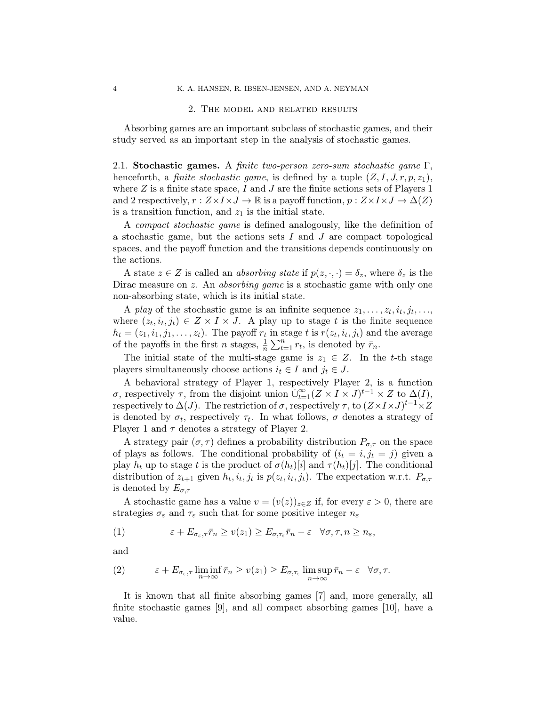#### 2. The model and related results

Absorbing games are an important subclass of stochastic games, and their study served as an important step in the analysis of stochastic games.

2.1. Stochastic games. A finite two-person zero-sum stochastic game  $\Gamma$ , henceforth, a *finite stochastic game*, is defined by a tuple  $(Z, I, J, r, p, z_1)$ , where  $Z$  is a finite state space, I and J are the finite actions sets of Players 1 and 2 respectively,  $r : Z \times I \times J \to \mathbb{R}$  is a payoff function,  $p : Z \times I \times J \to \Delta(Z)$ is a transition function, and  $z<sub>1</sub>$  is the initial state.

A compact stochastic game is defined analogously, like the definition of a stochastic game, but the actions sets  $I$  and  $J$  are compact topological spaces, and the payoff function and the transitions depends continuously on the actions.

A state  $z \in Z$  is called an *absorbing state* if  $p(z, \cdot, \cdot) = \delta_z$ , where  $\delta_z$  is the Dirac measure on z. An *absorbing game* is a stochastic game with only one non-absorbing state, which is its initial state.

A play of the stochastic game is an infinite sequence  $z_1, \ldots, z_t, i_t, j_t, \ldots$ where  $(z_t, i_t, j_t) \in Z \times I \times J$ . A play up to stage t is the finite sequence  $h_t = (z_1, i_1, j_1, \ldots, z_t)$ . The payoff  $r_t$  in stage t is  $r(z_t, i_t, j_t)$  and the average of the payoffs in the first *n* stages,  $\frac{1}{n} \sum_{t=1}^{n} r_t$ , is denoted by  $\bar{r}_n$ .

The initial state of the multi-stage game is  $z_1 \in Z$ . In the t-th stage players simultaneously choose actions  $i_t \in I$  and  $j_t \in J$ .

A behavioral strategy of Player 1, respectively Player 2, is a function σ, respectively τ, from the disjoint union  $\psi_{t=1}^{\infty}(Z \times I \times J)^{t-1} \times Z$  to  $\Delta(I)$ , respectively to  $\Delta(J)$ . The restriction of  $\sigma$ , respectively  $\tau$ , to  $(Z \times I \times J)^{t-1} \times Z$ is denoted by  $\sigma_t$ , respectively  $\tau_t$ . In what follows,  $\sigma$  denotes a strategy of Player 1 and  $\tau$  denotes a strategy of Player 2.

A strategy pair  $(\sigma, \tau)$  defines a probability distribution  $P_{\sigma, \tau}$  on the space of plays as follows. The conditional probability of  $(i_t = i, j_t = j)$  given a play  $h_t$  up to stage t is the product of  $\sigma(h_t)[i]$  and  $\tau(h_t)[j]$ . The conditional distribution of  $z_{t+1}$  given  $h_t, i_t, j_t$  is  $p(z_t, i_t, j_t)$ . The expectation w.r.t.  $P_{\sigma, \tau}$ is denoted by  $E_{\sigma,\tau}$ 

A stochastic game has a value  $v = (v(z))_{z \in Z}$  if, for every  $\varepsilon > 0$ , there are strategies  $\sigma_\varepsilon$  and  $\tau_\varepsilon$  such that for some positive integer  $n_\varepsilon$ 

(1) 
$$
\varepsilon + E_{\sigma_{\varepsilon}, \tau} \bar{r}_n \geq v(z_1) \geq E_{\sigma, \tau_{\varepsilon}} \bar{r}_n - \varepsilon \quad \forall \sigma, \tau, n \geq n_{\varepsilon},
$$

and

(2) 
$$
\varepsilon + E_{\sigma_{\varepsilon},\tau} \liminf_{n \to \infty} \overline{r}_n \ge v(z_1) \ge E_{\sigma,\tau_{\varepsilon}} \limsup_{n \to \infty} \overline{r}_n - \varepsilon \quad \forall \sigma,\tau.
$$

It is known that all finite absorbing games [7] and, more generally, all finite stochastic games [9], and all compact absorbing games [10], have a value.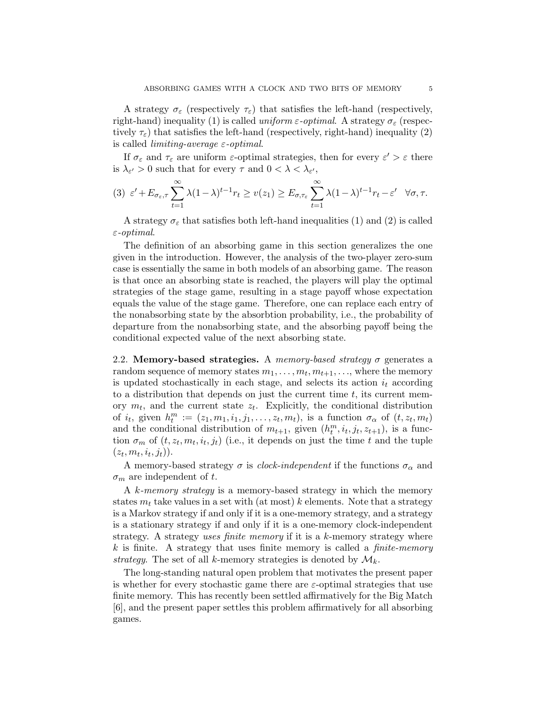A strategy  $\sigma_{\varepsilon}$  (respectively  $\tau_{\varepsilon}$ ) that satisfies the left-hand (respectively, right-hand) inequality (1) is called uniform  $\varepsilon$ -optimal. A strategy  $\sigma_{\varepsilon}$  (respectively  $\tau_{\varepsilon}$ ) that satisfies the left-hand (respectively, right-hand) inequality (2) is called *limiting-average*  $\varepsilon$ -*optimal.* 

If  $\sigma_{\varepsilon}$  and  $\tau_{\varepsilon}$  are uniform  $\varepsilon$ -optimal strategies, then for every  $\varepsilon' > \varepsilon$  there is  $\lambda_{\varepsilon}$  > 0 such that for every  $\tau$  and  $0 < \lambda < \lambda_{\varepsilon}$ ,

$$
(3) \varepsilon' + E_{\sigma_{\varepsilon}, \tau} \sum_{t=1}^{\infty} \lambda (1 - \lambda)^{t-1} r_t \ge v(z_1) \ge E_{\sigma, \tau_{\varepsilon}} \sum_{t=1}^{\infty} \lambda (1 - \lambda)^{t-1} r_t - \varepsilon' \quad \forall \sigma, \tau.
$$

A strategy  $\sigma_{\varepsilon}$  that satisfies both left-hand inequalities (1) and (2) is called  $\varepsilon$ -optimal.

The definition of an absorbing game in this section generalizes the one given in the introduction. However, the analysis of the two-player zero-sum case is essentially the same in both models of an absorbing game. The reason is that once an absorbing state is reached, the players will play the optimal strategies of the stage game, resulting in a stage payoff whose expectation equals the value of the stage game. Therefore, one can replace each entry of the nonabsorbing state by the absorbtion probability, i.e., the probability of departure from the nonabsorbing state, and the absorbing payoff being the conditional expected value of the next absorbing state.

2.2. Memory-based strategies. A memory-based strategy  $\sigma$  generates a random sequence of memory states  $m_1, \ldots, m_t, m_{t+1}, \ldots$ , where the memory is updated stochastically in each stage, and selects its action  $i_t$  according to a distribution that depends on just the current time  $t$ , its current memory  $m_t$ , and the current state  $z_t$ . Explicitly, the conditional distribution of  $i_t$ , given  $h_t^m := (z_1, m_1, i_1, j_1, \ldots, z_t, m_t)$ , is a function  $\sigma_\alpha$  of  $(t, z_t, m_t)$ and the conditional distribution of  $m_{t+1}$ , given  $(h_t^m, i_t, j_t, z_{t+1})$ , is a function  $\sigma_m$  of  $(t, z_t, m_t, i_t, j_t)$  (i.e., it depends on just the time t and the tuple  $(z_t, m_t, i_t, j_t)).$ 

A memory-based strategy  $\sigma$  is *clock-independent* if the functions  $\sigma_{\alpha}$  and  $\sigma_m$  are independent of t.

A k-memory strategy is a memory-based strategy in which the memory states  $m_t$  take values in a set with (at most) k elements. Note that a strategy is a Markov strategy if and only if it is a one-memory strategy, and a strategy is a stationary strategy if and only if it is a one-memory clock-independent strategy. A strategy uses finite memory if it is a  $k$ -memory strategy where  $k$  is finite. A strategy that uses finite memory is called a *finite-memory* strategy. The set of all k-memory strategies is denoted by  $\mathcal{M}_k$ .

The long-standing natural open problem that motivates the present paper is whether for every stochastic game there are  $\varepsilon$ -optimal strategies that use finite memory. This has recently been settled affirmatively for the Big Match [6], and the present paper settles this problem affirmatively for all absorbing games.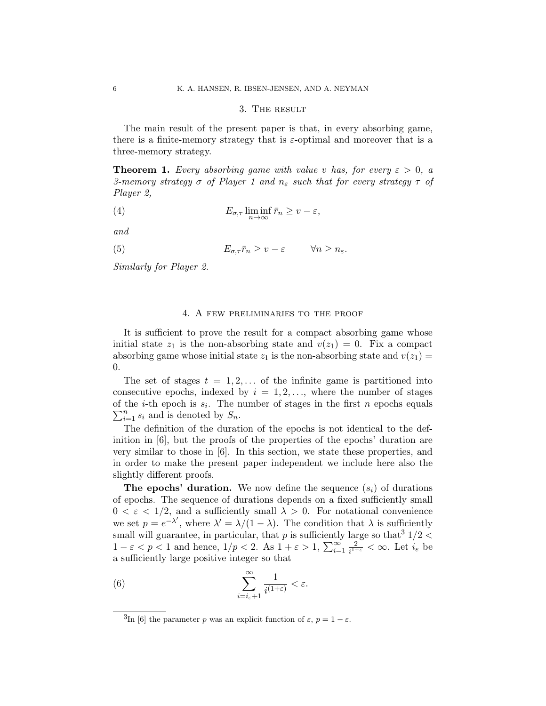#### 3. The result

The main result of the present paper is that, in every absorbing game, there is a finite-memory strategy that is  $\varepsilon$ -optimal and moreover that is a three-memory strategy.

**Theorem 1.** Every absorbing game with value v has, for every  $\varepsilon > 0$ , a 3-memory strategy  $\sigma$  of Player 1 and  $n_{\epsilon}$  such that for every strategy  $\tau$  of Player 2,

(4) 
$$
E_{\sigma,\tau} \liminf_{n \to \infty} \bar{r}_n \ge v - \varepsilon,
$$

and

(5)  $E_{\sigma,\tau} \bar{r}_n \geq v - \varepsilon \qquad \forall n \geq n_{\varepsilon}.$ 

Similarly for Player 2.

## 4. A few preliminaries to the proof

It is sufficient to prove the result for a compact absorbing game whose initial state  $z_1$  is the non-absorbing state and  $v(z_1) = 0$ . Fix a compact absorbing game whose initial state  $z_1$  is the non-absorbing state and  $v(z_1) =$ 0.

The set of stages  $t = 1, 2, \ldots$  of the infinite game is partitioned into consecutive epochs, indexed by  $i = 1, 2, \ldots$ , where the number of stages of the *i*-th epoch is  $s_i$ . The number of stages in the first *n* epochs equals  $\sum_{i=1}^{n} s_i$  and is denoted by  $S_n$ .

The definition of the duration of the epochs is not identical to the definition in [6], but the proofs of the properties of the epochs' duration are very similar to those in [6]. In this section, we state these properties, and in order to make the present paper independent we include here also the slightly different proofs.

**The epochs' duration.** We now define the sequence  $(s_i)$  of durations of epochs. The sequence of durations depends on a fixed sufficiently small  $0 < \varepsilon < 1/2$ , and a sufficiently small  $\lambda > 0$ . For notational convenience we set  $p = e^{-\lambda'}$ , where  $\lambda' = \lambda/(1-\lambda)$ . The condition that  $\lambda$  is sufficiently small will guarantee, in particular, that p is sufficiently large so that  $3/2 <$  $1 - \varepsilon < p < 1$  and hence,  $1/p < 2$ . As  $1 + \varepsilon > 1$ ,  $\sum_{i=1}^{\infty} \frac{2}{i^{1+i}}$  $\frac{2}{i^{1+\varepsilon}} < \infty$ . Let  $i_{\varepsilon}$  be a sufficiently large positive integer so that

(6) 
$$
\sum_{i=i_{\varepsilon}+1}^{\infty} \frac{1}{i^{(1+\varepsilon)}} < \varepsilon.
$$

<sup>&</sup>lt;sup>3</sup>In [6] the parameter p was an explicit function of  $\varepsilon$ ,  $p = 1 - \varepsilon$ .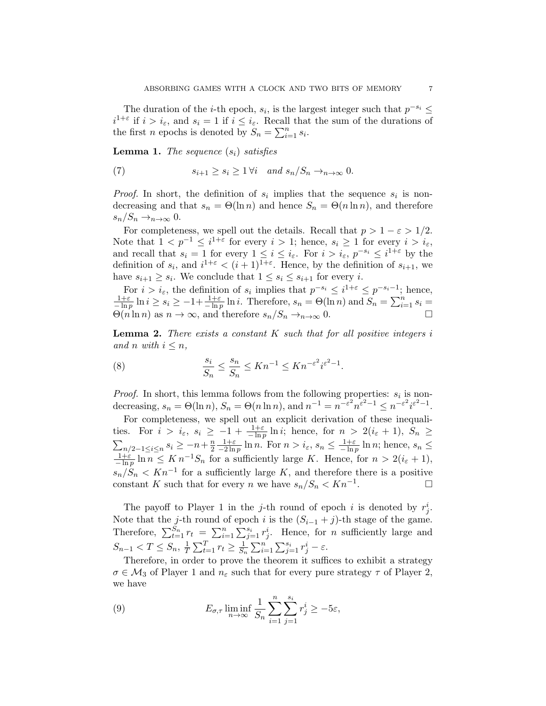The duration of the *i*-th epoch,  $s_i$ , is the largest integer such that  $p^{-s_i} \leq$  $i^{1+\varepsilon}$  if  $i > i_{\varepsilon}$ , and  $s_i = 1$  if  $i \leq i_{\varepsilon}$ . Recall that the sum of the durations of the first *n* epochs is denoted by  $S_n = \sum_{i=1}^n s_i$ .

**Lemma 1.** The sequence  $(s_i)$  satisfies

(7) 
$$
s_{i+1} \geq s_i \geq 1 \forall i \quad and \quad s_n/S_n \to_{n \to \infty} 0.
$$

*Proof.* In short, the definition of  $s_i$  implies that the sequence  $s_i$  is nondecreasing and that  $s_n = \Theta(\ln n)$  and hence  $S_n = \Theta(n \ln n)$ , and therefore  $s_n/S_n \rightarrow_{n\to\infty} 0$ .

For completeness, we spell out the details. Recall that  $p > 1 - \varepsilon > 1/2$ . Note that  $1 < p^{-1} \leq i^{1+\varepsilon}$  for every  $i > 1$ ; hence,  $s_i \geq 1$  for every  $i > i_{\varepsilon}$ , and recall that  $s_i = 1$  for every  $1 \leq i \leq i_{\varepsilon}$ . For  $i > i_{\varepsilon}$ ,  $p^{-s_i} \leq i^{1+\varepsilon}$  by the definition of  $s_i$ , and  $i^{1+\varepsilon} < (i+1)^{1+\varepsilon}$ . Hence, by the definition of  $s_{i+1}$ , we have  $s_{i+1} \geq s_i$ . We conclude that  $1 \leq s_i \leq s_{i+1}$  for every *i*.

For  $i > i_{\varepsilon}$ , the definition of  $s_i$  implies that  $p^{-s_i} \leq i^{1+\varepsilon} \leq p^{-s_i-1}$ ; hence,  $\frac{1+\varepsilon}{-\ln p}\ln i\geq s_i\geq -1+\frac{1+\varepsilon}{-\ln p}\ln i$ . Therefore,  $s_n = \Theta(\ln n)$  and  $S_n = \sum_{i=1}^n s_i =$  $\Theta(n \ln n)$  as  $n \to \infty$ , and therefore  $s_n/S_n \to_{n \to \infty} 0$ .

**Lemma 2.** There exists a constant  $K$  such that for all positive integers  $i$ and n with  $i \leq n$ ,

(8) 
$$
\frac{s_i}{S_n} \le \frac{s_n}{S_n} \le Kn^{-1} \le Kn^{-\varepsilon^2} i^{\varepsilon^2 - 1}.
$$

*Proof.* In short, this lemma follows from the following properties:  $s_i$  is nondecreasing,  $s_n = \Theta(\ln n)$ ,  $S_n = \Theta(n \ln n)$ , and  $n^{-1} = n^{-\varepsilon^2} n^{\varepsilon^2 - 1} \le n^{-\varepsilon^2} i^{\varepsilon^2 - 1}$ .

For completeness, we spell out an explicit derivation of these inequalities. For  $i > i_{\varepsilon}, s_i \geq -1 + \frac{1+\varepsilon}{-\ln p} \ln i$ ; hence, for  $n > 2(i_{\varepsilon} + 1), S_n \geq$  $\sum_{n/2-1\leq i\leq n} s_i \geq -n+\frac{n}{2}$ 2  $\frac{1+\varepsilon}{-2\ln p}\ln n$ . For  $n > i_{\varepsilon}, s_n \leq \frac{1+\varepsilon}{-\ln p}\ln n$ ; hence,  $s_n \leq$  $\frac{1+\varepsilon}{-\ln p}\ln n \leq K n^{-1}S_n$  for a sufficiently large K. Hence, for  $n > 2(i_{\varepsilon} + 1)$ ,  $s_n/S_n < Kn^{-1}$  for a sufficiently large K, and therefore there is a positive constant K such that for every n we have  $s_n/S_n < Kn^{-1}$ . .

The payoff to Player 1 in the j-th round of epoch i is denoted by  $r_j^i$ . Note that the j-th round of epoch i is the  $(S_{i-1} + j)$ -th stage of the game. Therefore,  $\sum_{t=1}^{S_n} r_t = \sum_{i=1}^n \sum_{j=1}^{s_i} r_j^i$ . Hence, for *n* sufficiently large and  $S_{n-1} < T \leq S_n, \frac{1}{T}$  $\frac{1}{T} \sum_{t=1}^T r_t \geq \frac{1}{S_t}$  $\frac{1}{S_n} \sum_{i=1}^n \sum_{j=1}^{s_i} r_j^i - \varepsilon.$ 

Therefore, in order to prove the theorem it suffices to exhibit a strategy  $\sigma \in \mathcal{M}_3$  of Player 1 and  $n_{\varepsilon}$  such that for every pure strategy  $\tau$  of Player 2, we have

(9) 
$$
E_{\sigma,\tau} \liminf_{n \to \infty} \frac{1}{S_n} \sum_{i=1}^n \sum_{j=1}^{s_i} r_j^i \ge -5\varepsilon,
$$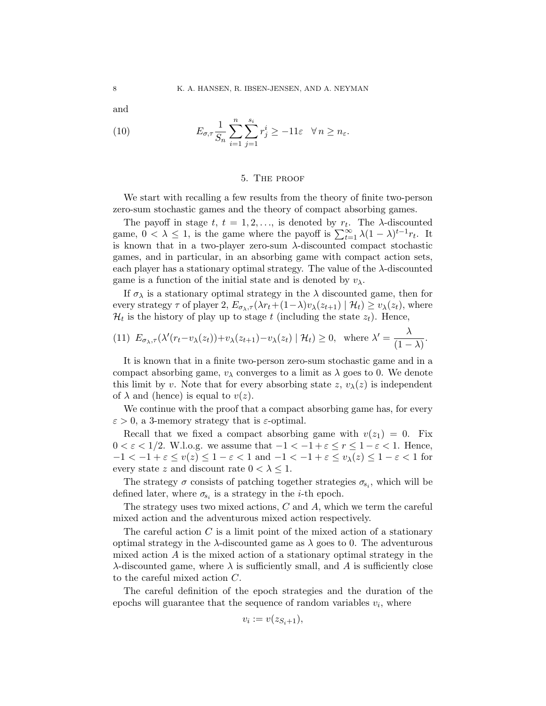and

(10) 
$$
E_{\sigma,\tau} \frac{1}{S_n} \sum_{i=1}^n \sum_{j=1}^{s_i} r_j^i \ge -11\varepsilon \quad \forall n \ge n_\varepsilon.
$$

#### 5. The proof

We start with recalling a few results from the theory of finite two-person zero-sum stochastic games and the theory of compact absorbing games.

The payoff in stage  $t, t = 1, 2, \ldots$ , is denoted by  $r_t$ . The  $\lambda$ -discounted game,  $0 < \lambda \leq 1$ , is the game where the payoff is  $\sum_{t=1}^{\infty} \lambda (1 - \lambda)^{t-1} r_t$ . It is known that in a two-player zero-sum  $\lambda$ -discounted compact stochastic games, and in particular, in an absorbing game with compact action sets, each player has a stationary optimal strategy. The value of the  $\lambda$ -discounted game is a function of the initial state and is denoted by  $v_{\lambda}$ .

If  $\sigma_{\lambda}$  is a stationary optimal strategy in the  $\lambda$  discounted game, then for every strategy  $\tau$  of player 2,  $E_{\sigma_{\lambda},\tau}(\lambda r_t+(1-\lambda)v_{\lambda}(z_{t+1}) | \mathcal{H}_t) \geq v_{\lambda}(z_t)$ , where  $\mathcal{H}_t$  is the history of play up to stage t (including the state  $z_t$ ). Hence,

(11) 
$$
E_{\sigma_{\lambda},\tau}(\lambda'(r_t-v_{\lambda}(z_t))+v_{\lambda}(z_{t+1})-v_{\lambda}(z_t)\mid \mathcal{H}_t) \geq 0
$$
, where  $\lambda' = \frac{\lambda}{(1-\lambda)}$ .

It is known that in a finite two-person zero-sum stochastic game and in a compact absorbing game,  $v_{\lambda}$  converges to a limit as  $\lambda$  goes to 0. We denote this limit by v. Note that for every absorbing state z,  $v_{\lambda}(z)$  is independent of  $\lambda$  and (hence) is equal to  $v(z)$ .

We continue with the proof that a compact absorbing game has, for every  $\varepsilon > 0$ , a 3-memory strategy that is  $\varepsilon$ -optimal.

Recall that we fixed a compact absorbing game with  $v(z_1) = 0$ . Fix  $0 < \varepsilon < 1/2$ . W.l.o.g. we assume that  $-1 < -1 + \varepsilon \le r \le 1 - \varepsilon < 1$ . Hence,  $-1 < -1 + \varepsilon \le v(z) \le 1 - \varepsilon < 1$  and  $-1 < -1 + \varepsilon \le v_\lambda(z) \le 1 - \varepsilon < 1$  for every state z and discount rate  $0 < \lambda \leq 1$ .

The strategy  $\sigma$  consists of patching together strategies  $\sigma_{s_i}$ , which will be defined later, where  $\sigma_{s_i}$  is a strategy in the *i*-th epoch.

The strategy uses two mixed actions, C and A, which we term the careful mixed action and the adventurous mixed action respectively.

The careful action  $C$  is a limit point of the mixed action of a stationary optimal strategy in the  $\lambda$ -discounted game as  $\lambda$  goes to 0. The adventurous mixed action  $A$  is the mixed action of a stationary optimal strategy in the  $\lambda$ -discounted game, where  $\lambda$  is sufficiently small, and A is sufficiently close to the careful mixed action C.

The careful definition of the epoch strategies and the duration of the epochs will guarantee that the sequence of random variables  $v_i$ , where

$$
v_i := v(z_{S_i+1}),
$$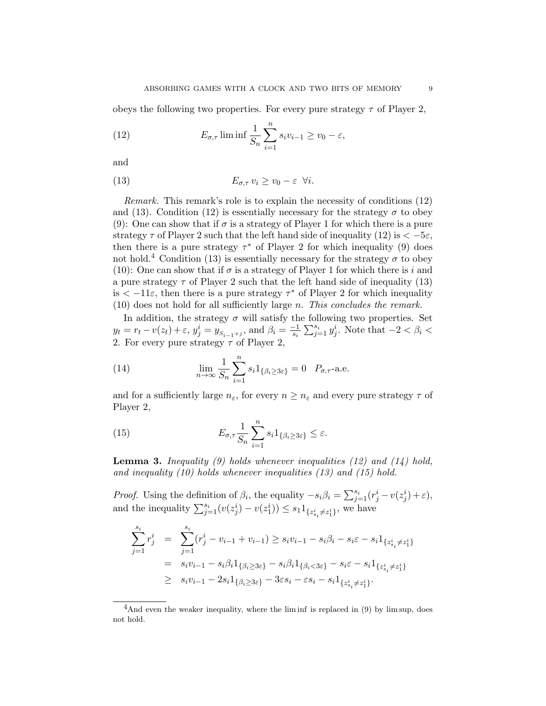obeys the following two properties. For every pure strategy  $\tau$  of Player 2,

(12) 
$$
E_{\sigma,\tau} \liminf \frac{1}{S_n} \sum_{i=1}^n s_i v_{i-1} \ge v_0 - \varepsilon,
$$

and

(13) 
$$
E_{\sigma,\tau} v_i \ge v_0 - \varepsilon \quad \forall i.
$$

Remark. This remark's role is to explain the necessity of conditions (12) and (13). Condition (12) is essentially necessary for the strategy  $\sigma$  to obey (9): One can show that if  $\sigma$  is a strategy of Player 1 for which there is a pure strategy  $\tau$  of Player 2 such that the left hand side of inequality (12) is  $\lt -5\varepsilon$ , then there is a pure strategy  $\tau^*$  of Player 2 for which inequality (9) does not hold.<sup>4</sup> Condition (13) is essentially necessary for the strategy  $\sigma$  to obey (10): One can show that if  $\sigma$  is a strategy of Player 1 for which there is i and a pure strategy  $\tau$  of Player 2 such that the left hand side of inequality (13) is  $\lt$  -11 $\varepsilon$ , then there is a pure strategy  $\tau^*$  of Player 2 for which inequality  $(10)$  does not hold for all sufficiently large *n*. This concludes the remark.

In addition, the strategy  $\sigma$  will satisfy the following two properties. Set  $y_t = r_t - v(z_t) + \varepsilon, y_j^i = y_{S_{i-1}+j}, \text{ and } \beta_i = \frac{-1}{s_i}$  $\frac{-1}{s_i} \sum_{j=1}^{s_i} y_j^i$ . Note that  $-2 < \beta_i <$ 2. For every pure strategy  $\tau$  of Player 2,

(14) 
$$
\lim_{n \to \infty} \frac{1}{S_n} \sum_{i=1}^n s_i 1_{\{\beta_i \ge 3\varepsilon\}} = 0 \quad P_{\sigma,\tau} \text{-a.e.}
$$

and for a sufficiently large  $n_{\varepsilon}$ , for every  $n \geq n_{\varepsilon}$  and every pure strategy  $\tau$  of Player 2,

(15) 
$$
E_{\sigma,\tau} \frac{1}{S_n} \sum_{i=1}^n s_i 1_{\{\beta_i \ge 3\varepsilon\}} \le \varepsilon.
$$

**Lemma 3.** Inequality (9) holds whenever inequalities (12) and (14) hold, and inequality (10) holds whenever inequalities (13) and (15) hold.

*Proof.* Using the definition of  $\beta_i$ , the equality  $-s_i\beta_i = \sum_{j=1}^{s_i} (r_j^i - v(z_j^i) + \varepsilon)$ , and the inequality  $\sum_{j=1}^{s_i} (v(z_j^i) - v(z_1^i)) \leq s_1 1_{\{z_{s_i}^i \neq z_1^i\}},$  we have

$$
\sum_{j=1}^{s_i} r_j^i = \sum_{j=1}^{s_i} (r_j^i - v_{i-1} + v_{i-1}) \ge s_i v_{i-1} - s_i \beta_i - s_i \varepsilon - s_i 1_{\{z_{s_i}^i \neq z_1^i\}}
$$
\n
$$
= s_i v_{i-1} - s_i \beta_i 1_{\{\beta_i \ge 3\varepsilon\}} - s_i \beta_i 1_{\{\beta_i < 3\varepsilon\}} - s_i \varepsilon - s_i 1_{\{z_{s_i}^i \neq z_1^i\}}
$$
\n
$$
\ge s_i v_{i-1} - 2s_i 1_{\{\beta_i \ge 3\varepsilon\}} - 3\varepsilon s_i - \varepsilon s_i - s_i 1_{\{z_{s_i}^i \neq z_1^i\}}.
$$

 $4$ And even the weaker inequality, where the lim inf is replaced in  $(9)$  by lim sup, does not hold.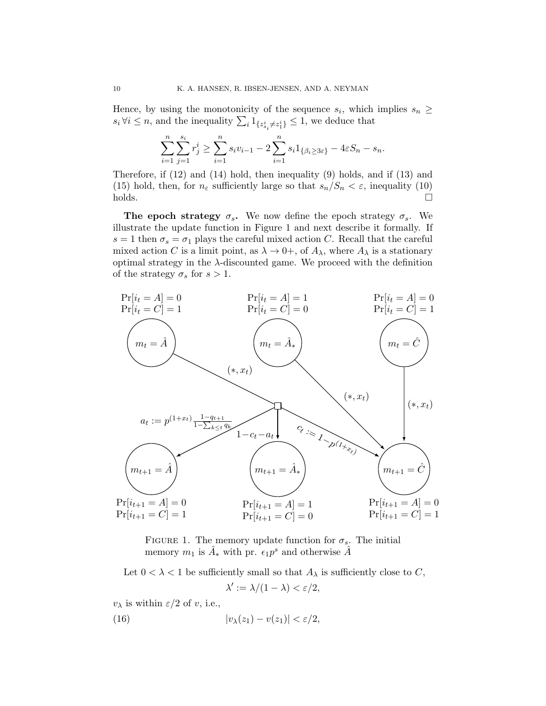Hence, by using the monotonicity of the sequence  $s_i$ , which implies  $s_n \geq$  $s_i \forall i \leq n$ , and the inequality  $\sum_i 1_{\{z_{s_i}^i \neq z_1^i\}} \leq 1$ , we deduce that

$$
\sum_{i=1}^{n} \sum_{j=1}^{s_i} r_j^i \ge \sum_{i=1}^{n} s_i v_{i-1} - 2 \sum_{i=1}^{n} s_i 1_{\{\beta_i \ge 3\varepsilon\}} - 4\varepsilon S_n - s_n.
$$

Therefore, if (12) and (14) hold, then inequality (9) holds, and if (13) and (15) hold, then, for  $n_{\varepsilon}$  sufficiently large so that  $s_n/S_n < \varepsilon$ , inequality (10)  $holds.$ 

The epoch strategy  $\sigma_s$ . We now define the epoch strategy  $\sigma_s$ . We illustrate the update function in Figure 1 and next describe it formally. If  $s = 1$  then  $\sigma_s = \sigma_1$  plays the careful mixed action C. Recall that the careful mixed action C is a limit point, as  $\lambda \to 0^+$ , of  $A_\lambda$ , where  $A_\lambda$  is a stationary optimal strategy in the  $\lambda$ -discounted game. We proceed with the definition of the strategy  $\sigma_s$  for  $s > 1$ .



FIGURE 1. The memory update function for  $\sigma_s$ . The initial memory  $m_1$  is  $\hat{A}_*$  with pr.  $\epsilon_1 p^s$  and otherwise  $\hat{A}$ 

Let  $0 < \lambda < 1$  be sufficiently small so that  $A_{\lambda}$  is sufficiently close to C,  $\lambda' := \lambda/(1-\lambda) < \varepsilon/2,$ 

 $v_{\lambda}$  is within  $\varepsilon/2$  of v, i.e.,

(16) 
$$
|v_{\lambda}(z_1) - v(z_1)| < \varepsilon/2,
$$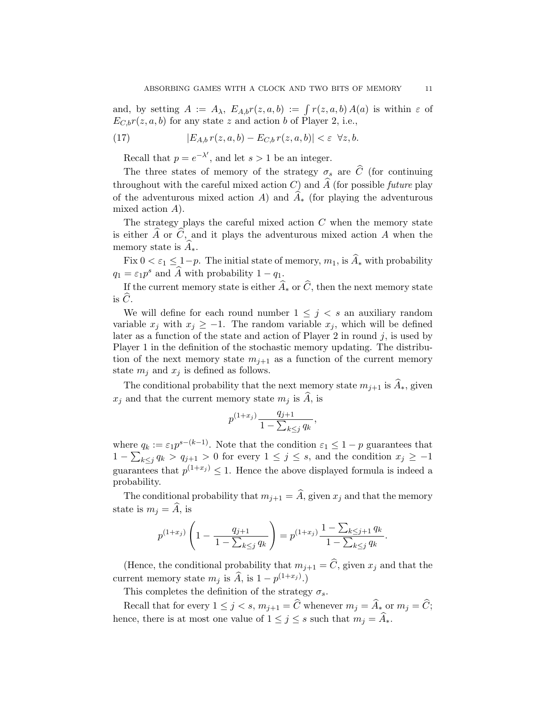and, by setting  $A := A_{\lambda}, E_{A,b}r(z, a, b) := \int r(z, a, b) A(a)$  is within  $\varepsilon$  of  $E_{C,b}r(z, a, b)$  for any state z and action b of Player 2, i.e.,

(17) 
$$
|E_{A,b}r(z,a,b)-E_{C,b}r(z,a,b)|<\varepsilon \ \forall z,b.
$$

Recall that  $p = e^{-\lambda'}$ , and let  $s > 1$  be an integer.

The three states of memory of the strategy  $\sigma_s$  are  $\hat{C}$  (for continuing throughout with the careful mixed action  $C$ ) and  $\hat{A}$  (for possible *future* play of the adventurous mixed action A) and  $A_*$  (for playing the adventurous mixed action A).

The strategy plays the careful mixed action  $C$  when the memory state is either  $\widehat{A}$  or  $\widehat{C}$ , and it plays the adventurous mixed action A when the memory state is  $A_{*}$ .

Fix  $0 < \varepsilon_1 \leq 1-p$ . The initial state of memory,  $m_1$ , is  $\widehat{A}_*$  with probability  $q_1 = \varepsilon_1 p^s$  and  $\widehat{A}$  with probability  $1 - q_1$ .

If the current memory state is either  $\widehat{A}_*$  or  $\widehat{C}$ , then the next memory state is  $\hat{C}$ .

We will define for each round number  $1 \leq j \leq s$  an auxiliary random variable  $x_j$  with  $x_j \geq -1$ . The random variable  $x_j$ , which will be defined later as a function of the state and action of Player 2 in round j, is used by Player 1 in the definition of the stochastic memory updating. The distribution of the next memory state  $m_{i+1}$  as a function of the current memory state  $m_j$  and  $x_j$  is defined as follows.

The conditional probability that the next memory state  $m_{i+1}$  is  $\hat{A}_*$ , given  $x_j$  and that the current memory state  $m_j$  is  $\ddot{A}$ , is

$$
p^{(1+x_j)} \frac{q_{j+1}}{1 - \sum_{k \le j} q_k},
$$

where  $q_k := \varepsilon_1 p^{s-(k-1)}$ . Note that the condition  $\varepsilon_1 \leq 1-p$  guarantees that  $1 - \sum_{k \leq j} q_k > q_{j+1} > 0$  for every  $1 \leq j \leq s$ , and the condition  $x_j \geq -1$ guarantees that  $p^{(1+x_j)} \leq 1$ . Hence the above displayed formula is indeed a probability.

The conditional probability that  $m_{j+1} = \hat{A}$ , given  $x_j$  and that the memory state is  $m_i = A$ , is

$$
p^{(1+x_j)}\left(1-\frac{q_{j+1}}{1-\sum_{k\leq j}q_k}\right)=p^{(1+x_j)}\frac{1-\sum_{k\leq j+1}q_k}{1-\sum_{k\leq j}q_k}.
$$

(Hence, the conditional probability that  $m_{j+1} = \hat{C}$ , given  $x_j$  and that the current memory state  $m_j$  is  $\widehat{A}$ , is  $1 - p^{(1+x_j)}$ .)

This completes the definition of the strategy  $\sigma_s$ .

Recall that for every  $1 \leq j < s$ ,  $m_{j+1} = \widehat{C}$  whenever  $m_j = \widehat{A}_*$  or  $m_j = \widehat{C}$ ; hence, there is at most one value of  $1 \leq j \leq s$  such that  $m_j = \widehat{A}_*$ .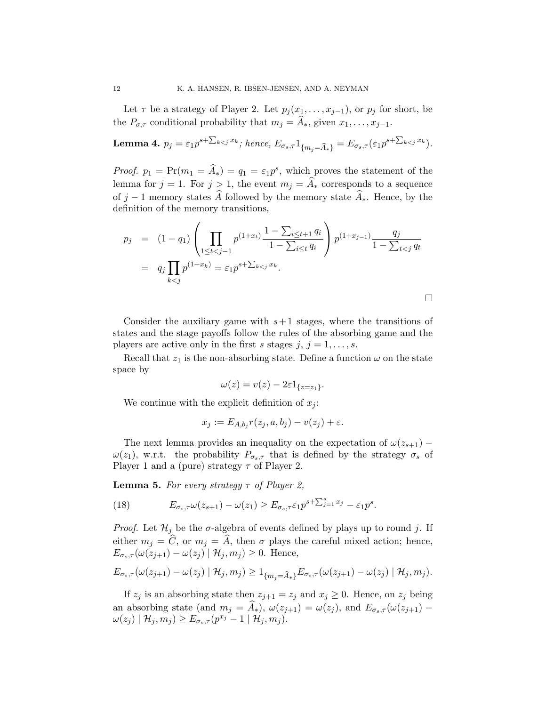Let  $\tau$  be a strategy of Player 2. Let  $p_j(x_1, \ldots, x_{j-1})$ , or  $p_j$  for short, be the  $P_{\sigma,\tau}$  conditional probability that  $m_j = \widehat{A}_*,$  given  $x_1, \ldots, x_{j-1}.$ 

**Lemma 4.** 
$$
p_j = \varepsilon_1 p^{s + \sum_{k < j} x_k}
$$
; hence,  $E_{\sigma_s, \tau} 1_{\{m_j = \widehat{A}_*\}} = E_{\sigma_s, \tau} (\varepsilon_1 p^{s + \sum_{k < j} x_k})$ .

*Proof.*  $p_1 = \Pr(m_1 = \hat{A}_*) = q_1 = \varepsilon_1 p^s$ , which proves the statement of the lemma for  $j = 1$ . For  $j > 1$ , the event  $m_j = \hat{A}_*$  corresponds to a sequence of j − 1 memory states  $\widehat{A}$  followed by the memory state  $\widehat{A}_*$ . Hence, by the definition of the memory transitions,

$$
p_j = (1 - q_1) \left( \prod_{1 \le t < j-1} p^{(1+x_t)} \frac{1 - \sum_{i \le t+1} q_i}{1 - \sum_{i \le t} q_i} \right) p^{(1+x_{j-1})} \frac{q_j}{1 - \sum_{t < j} q_t}
$$
\n
$$
= q_j \prod_{k < j} p^{(1+x_k)} = \varepsilon_1 p^{s + \sum_{k < j} x_k}.
$$

Consider the auxiliary game with  $s+1$  stages, where the transitions of states and the stage payoffs follow the rules of the absorbing game and the players are active only in the first s stages  $j, j = 1, \ldots, s$ .

Recall that  $z_1$  is the non-absorbing state. Define a function  $\omega$  on the state space by

$$
\omega(z) = v(z) - 2\varepsilon 1_{\{z=z_1\}}.
$$

We continue with the explicit definition of  $x_i$ :

$$
x_j := E_{A,b_j}r(z_j, a, b_j) - v(z_j) + \varepsilon.
$$

The next lemma provides an inequality on the expectation of  $\omega(z_{s+1})$  –  $\omega(z_1)$ , w.r.t. the probability  $P_{\sigma_s,\tau}$  that is defined by the strategy  $\sigma_s$  of Player 1 and a (pure) strategy  $\tau$  of Player 2.

**Lemma 5.** For every strategy  $\tau$  of Player 2,

(18) 
$$
E_{\sigma_s, \tau} \omega(z_{s+1}) - \omega(z_1) \geq E_{\sigma_s, \tau} \varepsilon_1 p^{s + \sum_{j=1}^s x_j} - \varepsilon_1 p^s.
$$

*Proof.* Let  $\mathcal{H}_j$  be the  $\sigma$ -algebra of events defined by plays up to round j. If either  $m_j = \hat{C}$ , or  $m_j = \hat{A}$ , then  $\sigma$  plays the careful mixed action; hence,  $E_{\sigma_s,\tau}(\omega(z_{j+1}) - \omega(z_j) | \mathcal{H}_j, m_j) \geq 0$ . Hence,

$$
E_{\sigma_s,\tau}(\omega(z_{j+1})-\omega(z_j)\mid \mathcal{H}_j,m_j)\geq 1_{\{m_j=\widehat{A}_*\}}E_{\sigma_s,\tau}(\omega(z_{j+1})-\omega(z_j)\mid \mathcal{H}_j,m_j).
$$

If  $z_j$  is an absorbing state then  $z_{j+1} = z_j$  and  $x_j \geq 0$ . Hence, on  $z_j$  being an absorbing state (and  $m_j = \hat{A}_*$ ),  $\omega(z_{j+1}) = \omega(z_j)$ , and  $E_{\sigma_s,\tau}(\omega(z_{j+1}) \omega(z_j) \mid \mathcal{H}_j, m_j) \geq E_{\sigma_s, \tau}(p^{x_j}-1 \mid \mathcal{H}_j, m_j).$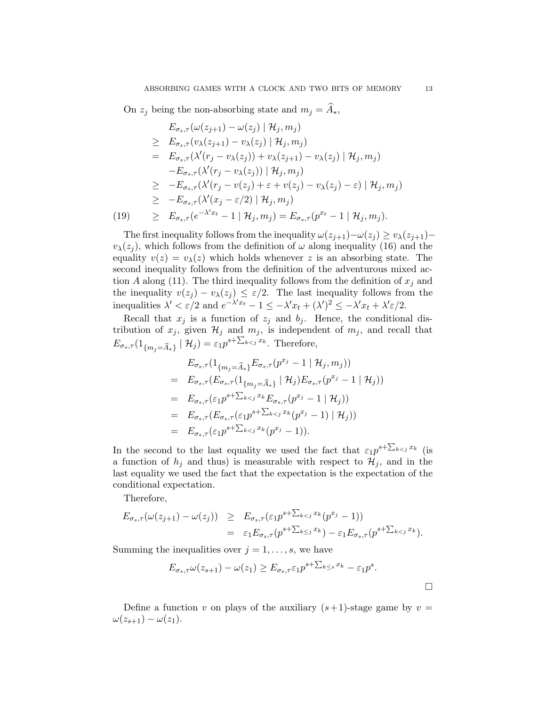On  $z_j$  being the non-absorbing state and  $m_j = \widehat{A}_*,$ 

$$
E_{\sigma_s,\tau}(\omega(z_{j+1}) - \omega(z_j) | \mathcal{H}_j, m_j)
$$
  
\n
$$
\geq E_{\sigma_s,\tau}(v_{\lambda}(z_{j+1}) - v_{\lambda}(z_j) | \mathcal{H}_j, m_j)
$$
  
\n
$$
= E_{\sigma_s,\tau}(\lambda'(r_j - v_{\lambda}(z_j)) + v_{\lambda}(z_{j+1}) - v_{\lambda}(z_j) | \mathcal{H}_j, m_j)
$$
  
\n
$$
-E_{\sigma_s,\tau}(\lambda'(r_j - v_{\lambda}(z_j)) | \mathcal{H}_j, m_j)
$$
  
\n
$$
\geq -E_{\sigma_s,\tau}(\lambda'(r_j - v(z_j) + \varepsilon + v(z_j) - v_{\lambda}(z_j) - \varepsilon) | \mathcal{H}_j, m_j)
$$
  
\n
$$
\geq -E_{\sigma_s,\tau}(\lambda'(x_j - \varepsilon/2) | \mathcal{H}_j, m_j)
$$
  
\n(19) 
$$
\geq E_{\sigma_s,\tau}(e^{-\lambda' x_t} - 1 | \mathcal{H}_j, m_j) = E_{\sigma_s,\tau}(p^{x_t} - 1 | \mathcal{H}_j, m_j).
$$

The first inequality follows from the inequality  $\omega(z_{j+1})-\omega(z_j) \geq v_\lambda(z_{j+1})$  $v_{\lambda}(z_i)$ , which follows from the definition of  $\omega$  along inequality (16) and the equality  $v(z) = v_\lambda(z)$  which holds whenever z is an absorbing state. The second inequality follows from the definition of the adventurous mixed action A along (11). The third inequality follows from the definition of  $x_j$  and the inequality  $v(z_j) - v_\lambda(z_j) \leq \varepsilon/2$ . The last inequality follows from the inequalities  $\lambda' < \varepsilon/2$  and  $e^{-\lambda' x_t} - 1 \leq -\lambda' x_t + (\lambda')^2 \leq -\lambda' x_t + \lambda' \varepsilon/2$ .

Recall that  $x_j$  is a function of  $z_j$  and  $b_j$ . Hence, the conditional distribution of  $x_j$ , given  $\mathcal{H}_j$  and  $m_j$ , is independent of  $m_j$ , and recall that  $E_{\sigma_s,\tau}(1_{\{m_j=\widehat{A}_*\}} | \mathcal{H}_j) = \varepsilon_1 p^{s+\sum_{k\leq j} x_k}$ . Therefore,

$$
E_{\sigma_s, \tau}(1_{\{m_j = \widehat{A}_*\}} E_{\sigma_s, \tau}(p^{x_j} - 1 | \mathcal{H}_j, m_j))
$$
  
=  $E_{\sigma_s, \tau}(E_{\sigma_s, \tau}(1_{\{m_j = \widehat{A}_*\}} | \mathcal{H}_j) E_{\sigma_s, \tau}(p^{x_j} - 1 | \mathcal{H}_j))$   
=  $E_{\sigma_s, \tau}(\varepsilon_1 p^{s + \sum_{k < j} x_k} E_{\sigma_s, \tau}(p^{x_j} - 1 | \mathcal{H}_j))$   
=  $E_{\sigma_s, \tau}(E_{\sigma_s, \tau}(\varepsilon_1 p^{s + \sum_{k < j} x_k} (p^{x_j} - 1) | \mathcal{H}_j))$   
=  $E_{\sigma_s, \tau}(\varepsilon_1 p^{s + \sum_{k < j} x_k} (p^{x_j} - 1)).$ 

In the second to the last equality we used the fact that  $\varepsilon_1 p^{s+\sum_{k (is$ a function of  $h_i$  and thus) is measurable with respect to  $\mathcal{H}_i$ , and in the last equality we used the fact that the expectation is the expectation of the conditional expectation.

Therefore,

$$
E_{\sigma_s,\tau}(\omega(z_{j+1}) - \omega(z_j)) \geq E_{\sigma_s,\tau}(\varepsilon_1 p^{s+\sum_{k  
=  $\varepsilon_1 E_{\sigma_s,\tau} (p^{s+\sum_{k\leq j} x_k}) - \varepsilon_1 E_{\sigma_s,\tau} (p^{s+\sum_{k$
$$

Summing the inequalities over  $j = 1, \ldots, s$ , we have

$$
E_{\sigma_s,\tau}\omega(z_{s+1})-\omega(z_1) \geq E_{\sigma_s,\tau}\varepsilon_1 p^{s+\sum_{k\leq s}x_k}-\varepsilon_1 p^s.
$$

Define a function v on plays of the auxiliary  $(s+1)$ -stage game by  $v =$  $\omega(z_{s+1}) - \omega(z_1).$ 

 $\Box$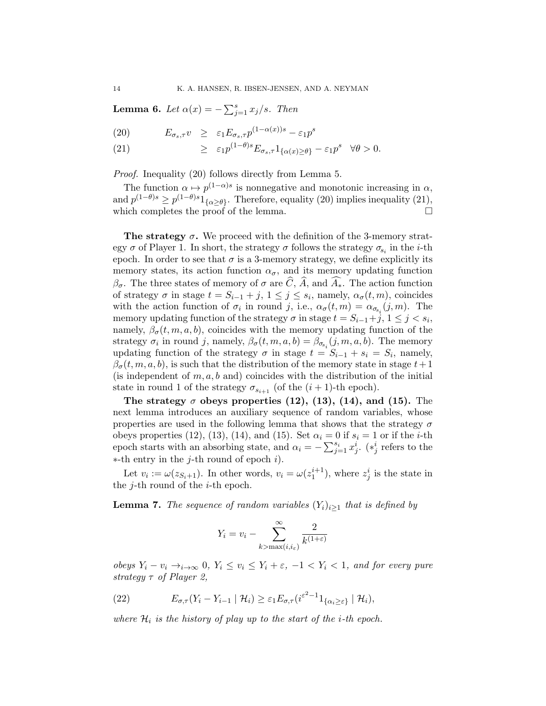**Lemma 6.** Let  $\alpha(x) = -\sum_{j=1}^{s} x_j/s$ . Then

(20) 
$$
E_{\sigma_s, \tau} v \geq \varepsilon_1 E_{\sigma_s, \tau} p^{(1-\alpha(x))s} - \varepsilon_1 p^s
$$

(21)  $\geq \varepsilon_1 p^{(1-\theta)s} E_{\sigma_s, \tau} 1_{\{\alpha(x)\geq \theta\}} - \varepsilon_1 p^s \quad \forall \theta > 0.$ 

Proof. Inequality (20) follows directly from Lemma 5.

The function  $\alpha \mapsto p^{(1-\alpha)s}$  is nonnegative and monotonic increasing in  $\alpha$ , and  $p^{(1-\theta)s} \ge p^{(1-\theta)s} 1_{\{\alpha \ge \theta\}}$ . Therefore, equality (20) implies inequality (21), which completes the proof of the lemma.  $\Box$ 

The strategy  $\sigma$ . We proceed with the definition of the 3-memory strategy  $\sigma$  of Player 1. In short, the strategy  $\sigma$  follows the strategy  $\sigma_{s_i}$  in the *i*-th epoch. In order to see that  $\sigma$  is a 3-memory strategy, we define explicitly its memory states, its action function  $\alpha_{\sigma}$ , and its memory updating function  $\beta_{\sigma}$ . The three states of memory of  $\sigma$  are  $\tilde{C}$ ,  $\tilde{A}$ , and  $\tilde{A}_{*}$ . The action function of strategy  $\sigma$  in stage  $t = S_{i-1} + j$ ,  $1 \leq j \leq s_i$ , namely,  $\alpha_{\sigma}(t, m)$ , coincides with the action function of  $\sigma_i$  in round j, i.e.,  $\alpha_{\sigma}(t,m) = \alpha_{\sigma_{s_i}}(j,m)$ . The memory updating function of the strategy  $\sigma$  in stage  $t = S_{i-1} + j, 1 \leq j < s_i$ , namely,  $\beta_{\sigma}(t, m, a, b)$ , coincides with the memory updating function of the strategy  $\sigma_i$  in round j, namely,  $\beta_{\sigma}(t, m, a, b) = \beta_{\sigma_{s_i}}(j, m, a, b)$ . The memory updating function of the strategy  $\sigma$  in stage  $t = S_{i-1} + s_i = S_i$ , namely,  $\beta_{\sigma}(t, m, a, b)$ , is such that the distribution of the memory state in stage  $t+1$ (is independent of  $m, a, b$  and) coincides with the distribution of the initial state in round 1 of the strategy  $\sigma_{s_{i+1}}$  (of the  $(i + 1)$ -th epoch).

The strategy  $\sigma$  obeys properties (12), (13), (14), and (15). The next lemma introduces an auxiliary sequence of random variables, whose properties are used in the following lemma that shows that the strategy  $\sigma$ obeys properties (12), (13), (14), and (15). Set  $\alpha_i = 0$  if  $s_i = 1$  or if the *i*-th epoch starts with an absorbing state, and  $\alpha_i = -\sum_{j=1}^{s_i} x_j^i$ . (\**i* refers to the  $*$ -th entry in the *j*-th round of epoch *i*).

Let  $v_i := \omega(z_{S_i+1})$ . In other words,  $v_i = \omega(z_1^{i+1})$ , where  $z_j^i$  is the state in the *j*-th round of the *i*-th epoch.

**Lemma 7.** The sequence of random variables  $(Y_i)_{i>1}$  that is defined by

$$
Y_i = v_i - \sum_{k > \max(i, i_\varepsilon)}^{\infty} \frac{2}{k^{(1+\varepsilon)}}
$$

obeys  $Y_i - v_i \rightarrow_{i \to \infty} 0$ ,  $Y_i \le v_i \le Y_i + \varepsilon$ ,  $-1 < Y_i < 1$ , and for every pure strategy  $\tau$  of Player 2,

(22) 
$$
E_{\sigma,\tau}(Y_i-Y_{i-1} | \mathcal{H}_i) \geq \varepsilon_1 E_{\sigma,\tau}(i^{\varepsilon^2-1}1_{\{\alpha_i\geq \varepsilon\}} | \mathcal{H}_i),
$$

where  $\mathcal{H}_i$  is the history of play up to the start of the *i*-th epoch.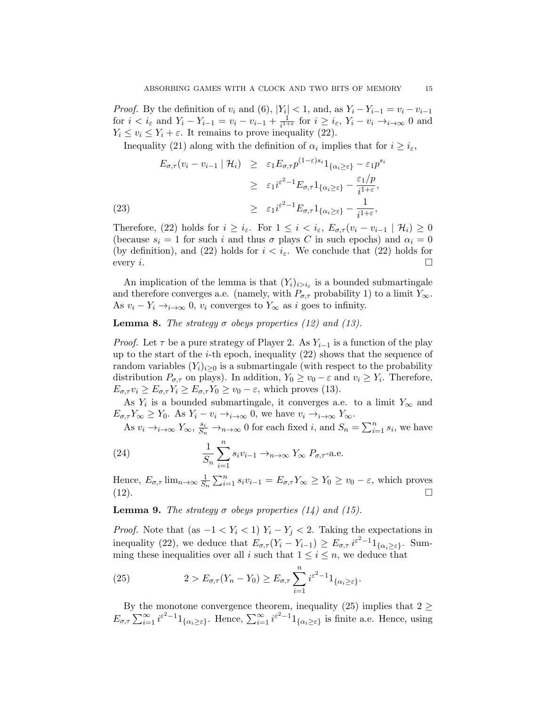*Proof.* By the definition of  $v_i$  and (6),  $|Y_i| < 1$ , and, as  $Y_i - Y_{i-1} = v_i - v_{i-1}$ for  $i < i_{\varepsilon}$  and  $Y_i - Y_{i-1} = v_i - v_{i-1} + \frac{1}{i^{1+i}}$  $\frac{1}{i^{1+\varepsilon}}$  for  $i \geq i_{\varepsilon}, Y_i - v_i \rightarrow_{i \to \infty} 0$  and  $Y_i \le v_i \le Y_i + \varepsilon$ . It remains to prove inequality (22).

Inequality (21) along with the definition of  $\alpha_i$  implies that for  $i \geq i_{\varepsilon}$ ,

(23)  
\n
$$
E_{\sigma,\tau}(v_i - v_{i-1} | \mathcal{H}_i) \geq \varepsilon_1 E_{\sigma,\tau} p^{(1-\varepsilon)s_i} \mathbb{1}_{\{\alpha_i \geq \varepsilon\}} - \varepsilon_1 p^{s_i}
$$
\n
$$
\geq \varepsilon_1 i^{\varepsilon^2 - 1} E_{\sigma,\tau} \mathbb{1}_{\{\alpha_i \geq \varepsilon\}} - \frac{\varepsilon_1/p}{i^{1+\varepsilon}},
$$
\n
$$
\geq \varepsilon_1 i^{\varepsilon^2 - 1} E_{\sigma,\tau} \mathbb{1}_{\{\alpha_i \geq \varepsilon\}} - \frac{1}{i^{1+\varepsilon}},
$$

Therefore, (22) holds for  $i \geq i_{\varepsilon}$ . For  $1 \leq i \leq i_{\varepsilon}$ ,  $E_{\sigma,\tau}(v_i - v_{i-1} \mid \mathcal{H}_i) \geq 0$ (because  $s_i = 1$  for such i and thus  $\sigma$  plays C in such epochs) and  $\alpha_i = 0$ (by definition), and (22) holds for  $i < i<sub>\epsilon</sub>$ . We conclude that (22) holds for every *i*.

An implication of the lemma is that  $(Y_i)_{i>i_{\epsilon}}$  is a bounded submartingale and therefore converges a.e. (namely, with  $P_{\sigma,\tau}$  probability 1) to a limit  $Y_{\infty}$ . As  $v_i - Y_i \rightarrow_{i \to \infty} 0$ ,  $v_i$  converges to  $Y_\infty$  as i goes to infinity.

# **Lemma 8.** The strategy  $\sigma$  obeys properties (12) and (13).

*Proof.* Let  $\tau$  be a pure strategy of Player 2. As  $Y_{i-1}$  is a function of the play up to the start of the *i*-th epoch, inequality  $(22)$  shows that the sequence of random variables  $(Y_i)_{i\geq 0}$  is a submartingale (with respect to the probability distribution  $P_{\sigma,\tau}$  on plays). In addition,  $Y_0 \ge v_0 - \varepsilon$  and  $v_i \ge Y_i$ . Therefore,  $E_{\sigma,\tau} v_i \ge E_{\sigma,\tau} Y_i \ge E_{\sigma,\tau} Y_0 \ge v_0 - \varepsilon$ , which proves (13).

As  $Y_i$  is a bounded submartingale, it converges a.e. to a limit  $Y_\infty$  and  $E_{\sigma,\tau}Y_{\infty} \geq Y_0$ . As  $Y_i - v_i \to_{i \to \infty} 0$ , we have  $v_i \to_{i \to \infty} Y_{\infty}$ .

As  $v_i \to_{i \to \infty} Y_{\infty}, \frac{s_i}{S_n} \to_{n \to \infty} 0$  for each fixed i, and  $S_n = \sum_{i=1}^n s_i$ , we have

(24) 
$$
\frac{1}{S_n} \sum_{i=1}^n s_i v_{i-1} \to_{n \to \infty} Y_\infty P_{\sigma, \tau} \text{-a.e.}
$$

Hence,  $E_{\sigma,\tau}$  lim<sub>n→∞</sub>  $\frac{1}{S_n}$  $\frac{1}{S_n} \sum_{i=1}^n s_i v_{i-1} = E_{\sigma,\tau} Y_{\infty} \ge Y_0 \ge v_0 - \varepsilon$ , which proves  $\Box$   $\Box$ 

**Lemma 9.** The strategy  $\sigma$  obeys properties (14) and (15).

*Proof.* Note that (as  $-1 < Y_i < 1$ )  $Y_i - Y_j < 2$ . Taking the expectations in inequality (22), we deduce that  $E_{\sigma,\tau}(Y_i - Y_{i-1}) \ge E_{\sigma,\tau} i^{\varepsilon^2 - 1} 1_{\{\alpha_i \ge \varepsilon\}}$ . Summing these inequalities over all i such that  $1 \leq i \leq n$ , we deduce that

(25) 
$$
2 > E_{\sigma,\tau}(Y_n - Y_0) \geq E_{\sigma,\tau} \sum_{i=1}^n i^{\varepsilon^2 - 1} 1_{\{\alpha_i \geq \varepsilon\}}.
$$

By the monotone convergence theorem, inequality (25) implies that  $2 \geq$  $E_{\sigma,\tau} \sum_{i=1}^{\infty} i^{\varepsilon^2-1} 1_{\{\alpha_i \geq \varepsilon\}}$ . Hence,  $\sum_{i=1}^{\infty} i^{\varepsilon^2-1} 1_{\{\alpha_i \geq \varepsilon\}}$  is finite a.e. Hence, using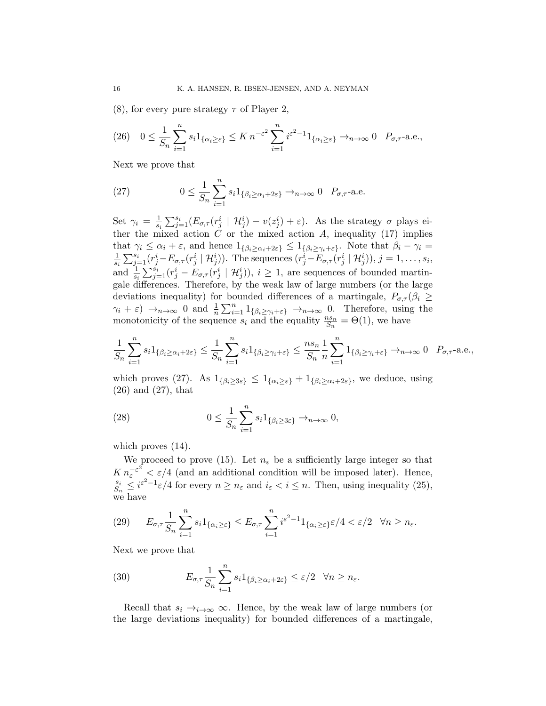(8), for every pure strategy  $\tau$  of Player 2,

$$
(26) \quad 0 \leq \frac{1}{S_n} \sum_{i=1}^n s_i 1_{\{\alpha_i \geq \varepsilon\}} \leq K n^{-\varepsilon^2} \sum_{i=1}^n i^{\varepsilon^2 - 1} 1_{\{\alpha_i \geq \varepsilon\}} \to_{n \to \infty} 0 \quad P_{\sigma, \tau} \text{-a.e.,}
$$

Next we prove that

(27) 
$$
0 \leq \frac{1}{S_n} \sum_{i=1}^n s_i 1_{\{\beta_i \geq \alpha_i + 2\varepsilon\}} \to_{n \to \infty} 0 \quad P_{\sigma, \tau} \text{-a.e.}
$$

Set  $\gamma_i = \frac{1}{s_i}$  $\frac{1}{s_i} \sum_{j=1}^{s_i} (E_{\sigma,\tau}(r_j^i \mid \mathcal{H}_j^i) - v(z_j^i) + \varepsilon)$ . As the strategy  $\sigma$  plays either the mixed action  $\check{C}$  or the mixed action  $\check{A}$ , inequality (17) implies that  $\gamma_i \leq \alpha_i + \varepsilon$ , and hence  $1_{\{\beta_i \geq \alpha_i + 2\varepsilon\}} \leq 1_{\{\beta_i \geq \gamma_i + \varepsilon\}}$ . Note that  $\beta_i - \gamma_i =$ 1  $\frac{1}{s_i} \sum_{j=1}^{s_i} (r_j^i - E_{\sigma,\tau}(r_j^i \mid \mathcal{H}_j^i))$ . The sequences  $(r_j^i - E_{\sigma,\tau}(r_j^i \mid \mathcal{H}_j^i)), j = 1, \ldots, s_i$ , and  $\frac{1}{s_i} \sum_{j=1}^{s_i} (r_j^i - \tilde{E}_{\sigma,\tau}(r_j^i \mid \mathcal{H}_j^i)), i \geq 1$ , are sequences of bounded martingale differences. Therefore, by the weak law of large numbers (or the large deviations inequality) for bounded differences of a martingale,  $P_{\sigma,\tau}(\beta_i \geq$  $\gamma_i + \varepsilon$   $\to_{n \to \infty} 0$  and  $\frac{1}{n} \sum_{i=1}^n 1_{\{\beta_i \geq \gamma_i + \varepsilon\}} \to_{n \to \infty} 0$ . Therefore, using the monotonicity of the sequence  $s_i$  and the equality  $\frac{ns_n}{S_n} = \Theta(1)$ , we have

$$
\frac{1}{S_n} \sum_{i=1}^n s_i 1_{\{\beta_i \ge \alpha_i + 2\varepsilon\}} \le \frac{1}{S_n} \sum_{i=1}^n s_i 1_{\{\beta_i \ge \gamma_i + \varepsilon\}} \le \frac{ns_n}{S_n} \frac{1}{n} \sum_{i=1}^n 1_{\{\beta_i \ge \gamma_i + \varepsilon\}} \to_{n \to \infty} 0 \quad P_{\sigma, \tau} \text{-a.e.,}
$$

which proves (27). As  $1_{\{\beta_i\geq 3\varepsilon\}} \leq 1_{\{\alpha_i\geq \varepsilon\}} + 1_{\{\beta_i\geq \alpha_i+2\varepsilon\}}$ , we deduce, using (26) and (27), that

(28) 
$$
0 \leq \frac{1}{S_n} \sum_{i=1}^n s_i 1_{\{\beta_i \geq 3\varepsilon\}} \to_{n \to \infty} 0,
$$

which proves  $(14)$ .

We proceed to prove (15). Let  $n_{\varepsilon}$  be a sufficiently large integer so that  $K n_{\varepsilon}^{-\varepsilon^2} < \varepsilon/4$  (and an additional condition will be imposed later). Hence, si  $\frac{s_i}{S_n} \leq i^{\varepsilon^2 - 1} \varepsilon / 4$  for every  $n \geq n_{\varepsilon}$  and  $i_{\varepsilon} < i \leq n$ . Then, using inequality (25), we have

(29) 
$$
E_{\sigma,\tau} \frac{1}{S_n} \sum_{i=1}^n s_i 1_{\{\alpha_i \geq \varepsilon\}} \leq E_{\sigma,\tau} \sum_{i=1}^n i^{\varepsilon^2 - 1} 1_{\{\alpha_i \geq \varepsilon\}} \varepsilon/4 < \varepsilon/2 \quad \forall n \geq n_{\varepsilon}.
$$

Next we prove that

(30) 
$$
E_{\sigma,\tau} \frac{1}{S_n} \sum_{i=1}^n s_i 1_{\{\beta_i \ge \alpha_i + 2\varepsilon\}} \le \varepsilon/2 \quad \forall n \ge n_\varepsilon.
$$

Recall that  $s_i \rightarrow_{i \rightarrow \infty} \infty$ . Hence, by the weak law of large numbers (or the large deviations inequality) for bounded differences of a martingale,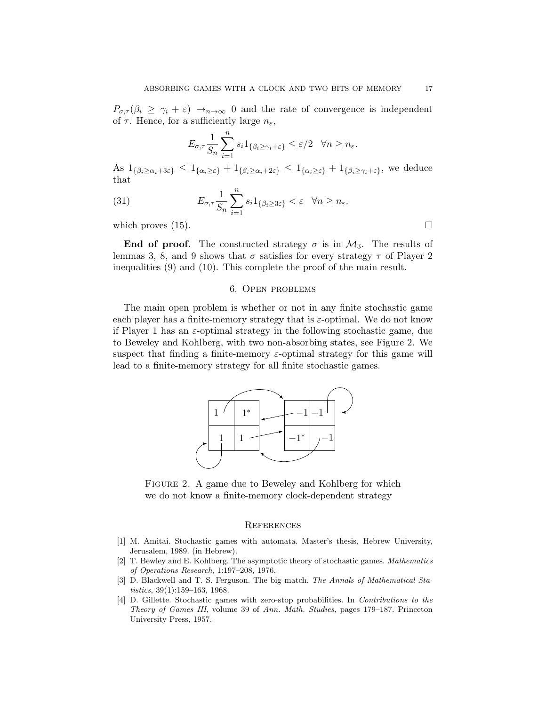$P_{\sigma,\tau}(\beta_i \geq \gamma_i + \varepsilon) \to_{n \to \infty} 0$  and the rate of convergence is independent of  $\tau$ . Hence, for a sufficiently large  $n_{\varepsilon}$ ,

$$
E_{\sigma,\tau} \frac{1}{S_n} \sum_{i=1}^n s_i 1_{\{\beta_i \ge \gamma_i + \varepsilon\}} \le \varepsilon/2 \quad \forall n \ge n_{\varepsilon}.
$$

As  $1_{\{\beta_i\geq\alpha_i+3\varepsilon\}} \leq 1_{\{\alpha_i\geq\varepsilon\}}+1_{\{\beta_i\geq\alpha_i+2\varepsilon\}} \leq 1_{\{\alpha_i\geq\varepsilon\}}+1_{\{\beta_i\geq\gamma_i+\varepsilon\}}$ , we deduce that

(31) 
$$
E_{\sigma,\tau} \frac{1}{S_n} \sum_{i=1}^n s_i 1_{\{\beta_i \ge 3\varepsilon\}} < \varepsilon \quad \forall n \ge n_{\varepsilon}.
$$

which proves  $(15)$ .

End of proof. The constructed strategy  $\sigma$  is in  $\mathcal{M}_3$ . The results of lemmas 3, 8, and 9 shows that  $\sigma$  satisfies for every strategy  $\tau$  of Player 2 inequalities (9) and (10). This complete the proof of the main result.

## 6. Open problems

The main open problem is whether or not in any finite stochastic game each player has a finite-memory strategy that is  $\varepsilon$ -optimal. We do not know if Player 1 has an  $\varepsilon$ -optimal strategy in the following stochastic game, due to Beweley and Kohlberg, with two non-absorbing states, see Figure 2. We suspect that finding a finite-memory  $\varepsilon$ -optimal strategy for this game will lead to a finite-memory strategy for all finite stochastic games.



FIGURE 2. A game due to Beweley and Kohlberg for which we do not know a finite-memory clock-dependent strategy

#### **REFERENCES**

- [1] M. Amitai. Stochastic games with automata. Master's thesis, Hebrew University, Jerusalem, 1989. (in Hebrew).
- [2] T. Bewley and E. Kohlberg. The asymptotic theory of stochastic games. Mathematics of Operations Research, 1:197–208, 1976.
- [3] D. Blackwell and T. S. Ferguson. The big match. The Annals of Mathematical Statistics, 39(1):159–163, 1968.
- [4] D. Gillette. Stochastic games with zero-stop probabilities. In Contributions to the Theory of Games III, volume 39 of Ann. Math. Studies, pages 179–187. Princeton University Press, 1957.